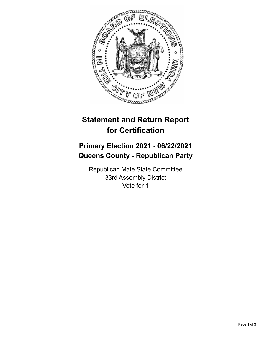

## **Statement and Return Report for Certification**

## **Primary Election 2021 - 06/22/2021 Queens County - Republican Party**

Republican Male State Committee 33rd Assembly District Vote for 1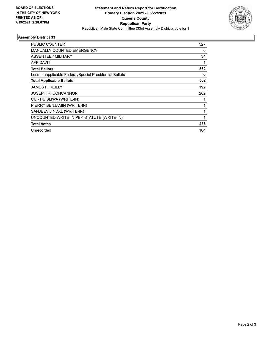

## **Assembly District 33**

| PUBLIC COUNTER                                           | 527 |
|----------------------------------------------------------|-----|
| <b>MANUALLY COUNTED EMERGENCY</b>                        | 0   |
| ABSENTEE / MILITARY                                      | 34  |
| <b>AFFIDAVIT</b>                                         |     |
| <b>Total Ballots</b>                                     | 562 |
| Less - Inapplicable Federal/Special Presidential Ballots | 0   |
| <b>Total Applicable Ballots</b>                          | 562 |
| <b>JAMES F. REILLY</b>                                   | 192 |
| JOSEPH R. CONCANNON                                      | 262 |
| CURTIS SLIWA (WRITE-IN)                                  |     |
| PIERRY BENJAMIN (WRITE-IN)                               |     |
| SANJEEV JINDAL (WRITE-IN)                                |     |
| UNCOUNTED WRITE-IN PER STATUTE (WRITE-IN)                |     |
| <b>Total Votes</b>                                       | 458 |
| Unrecorded                                               | 104 |